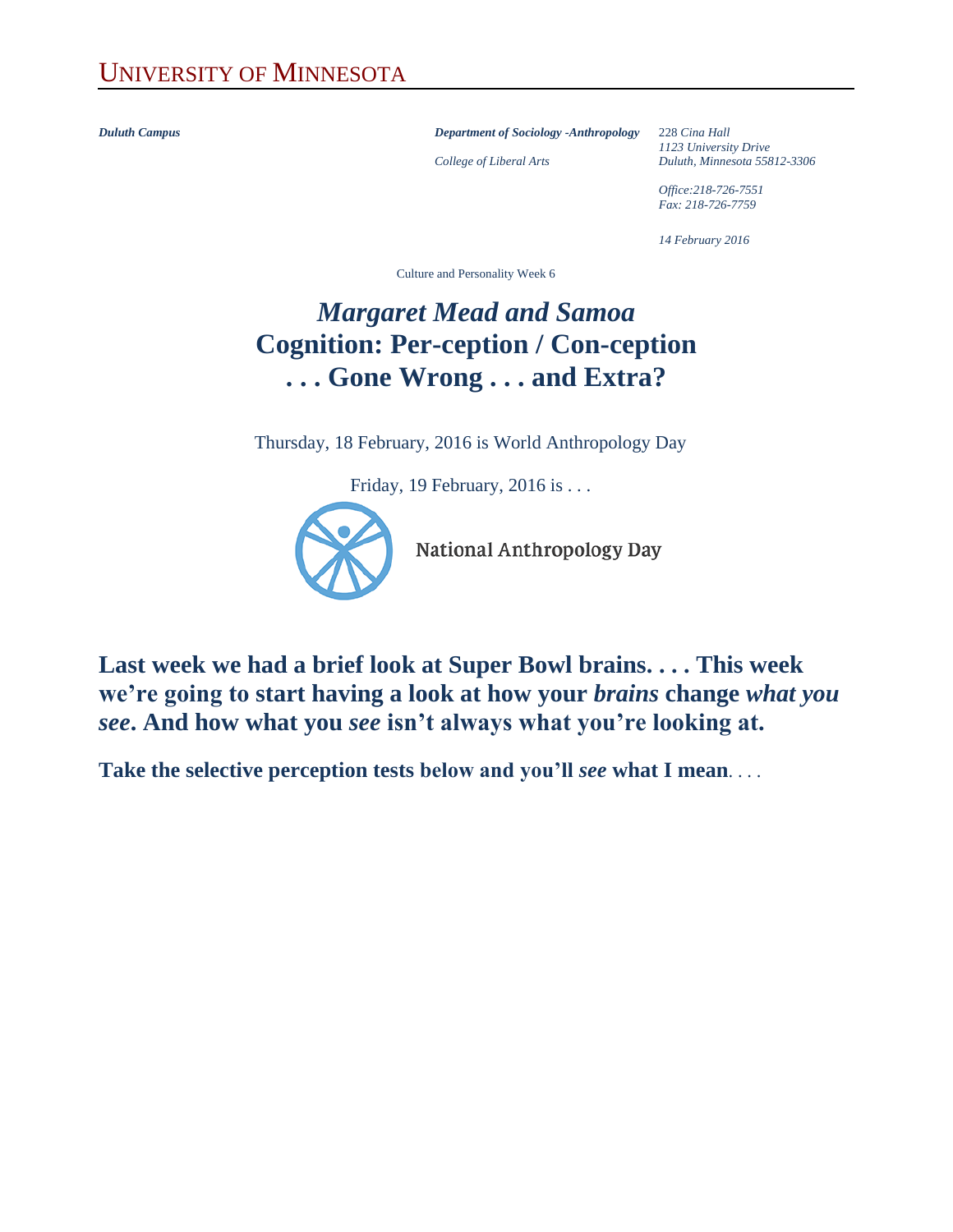*Duluth Campus Department of Sociology -Anthropology* 228 *Cina Hall*

*1123 University Drive College of Liberal Arts Duluth, Minnesota 55812-3306*

> *Office:218-726-7551 Fax: 218-726-7759*

*14 February 2016*

Culture and Personality Week 6

## *Margaret Mead and Samoa* **Cognition: Per-ception / Con-ception . . . Gone Wrong . . . and Extra?**

Thursday, 18 February, 2016 is World Anthropology Day

Friday, 19 February, 2016 is . . .



National Anthropology Day

**Last week we had a brief look at Super Bowl brains. . . . This week we're going to start having a look at how your** *brains* **change** *what you see***. And how what you** *see* **isn't always what you're looking at.**

**Take the selective perception tests below and you'll** *see* **what I mean**. . . .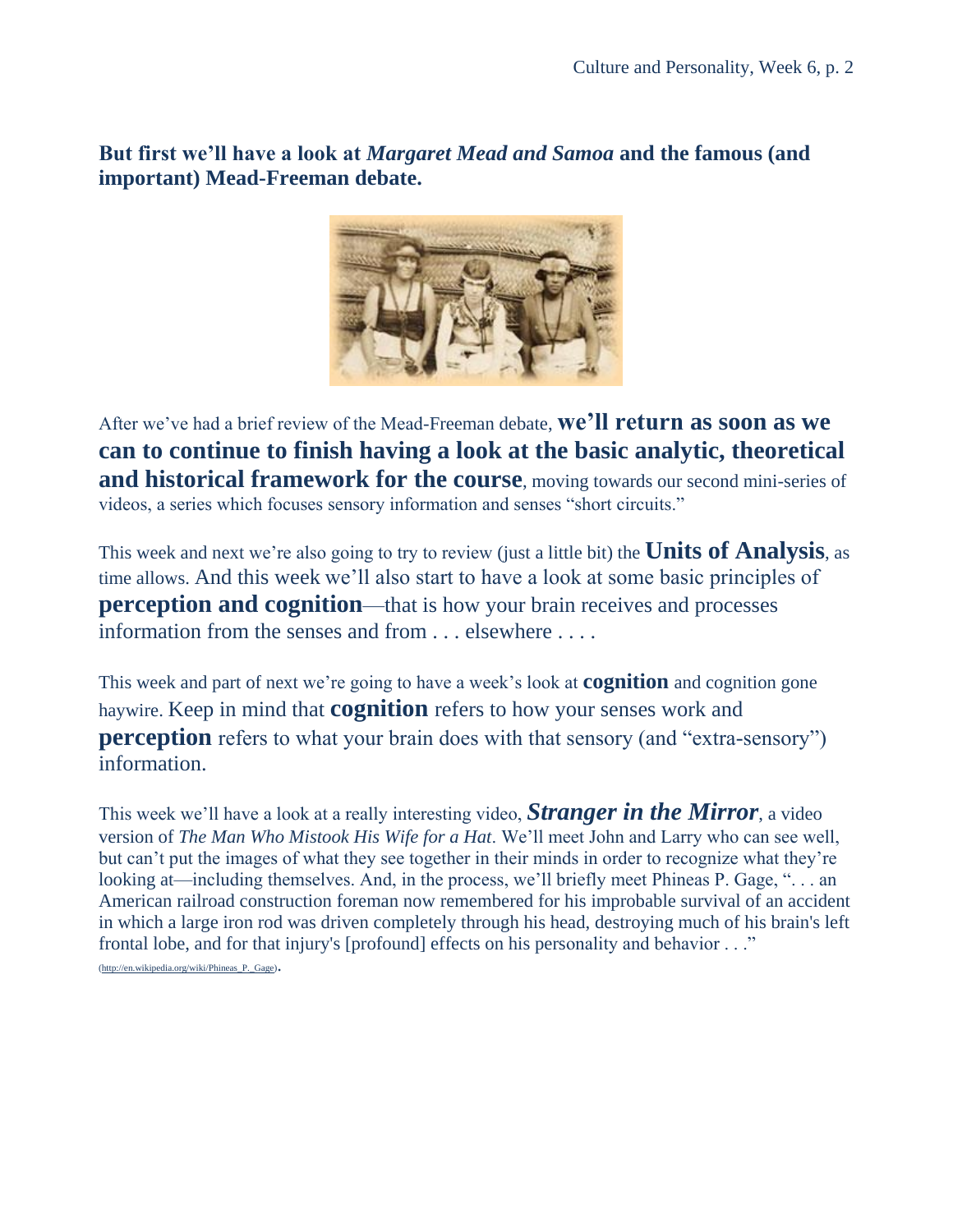**But first we'll have a look at** *Margaret Mead and Samoa* **and the famous (and important) Mead-Freeman debate.**



After we've had a brief review of the Mead-Freeman debate, **we'll return as soon as we can to continue to finish having a look at the basic analytic, theoretical and historical framework for the course**, moving towards our second mini-series of videos, a series which focuses sensory information and senses "short circuits."

This week and next we're also going to try to review (just a little bit) the **Units of Analysis**, as time allows. And this week we'll also start to have a look at some basic principles of **perception and cognition—that is how your brain receives and processes** information from the senses and from . . . elsewhere . . . .

This week and part of next we're going to have a week's look at **cognition** and cognition gone haywire. Keep in mind that **cognition** refers to how your senses work and **perception** refers to what your brain does with that sensory (and "extra-sensory") information.

This week we'll have a look at a really interesting video, *Stranger in the Mirror*, a video version of *The Man Who Mistook His Wife for a Hat*. We'll meet John and Larry who can see well, but can't put the images of what they see together in their minds in order to recognize what they're looking at—including themselves. And, in the process, we'll briefly meet Phineas P. Gage, "... an American railroad construction foreman now remembered for his improbable survival of an accident in which a large iron rod was driven completely through his head, destroying much of his brain's left frontal lobe, and for that injury's [profound] effects on his personality and behavior . . ."

[\(http://en.wikipedia.org/wiki/Phineas\\_P.\\_Gage\)](http://en.wikipedia.org/wiki/Phineas_P._Gage).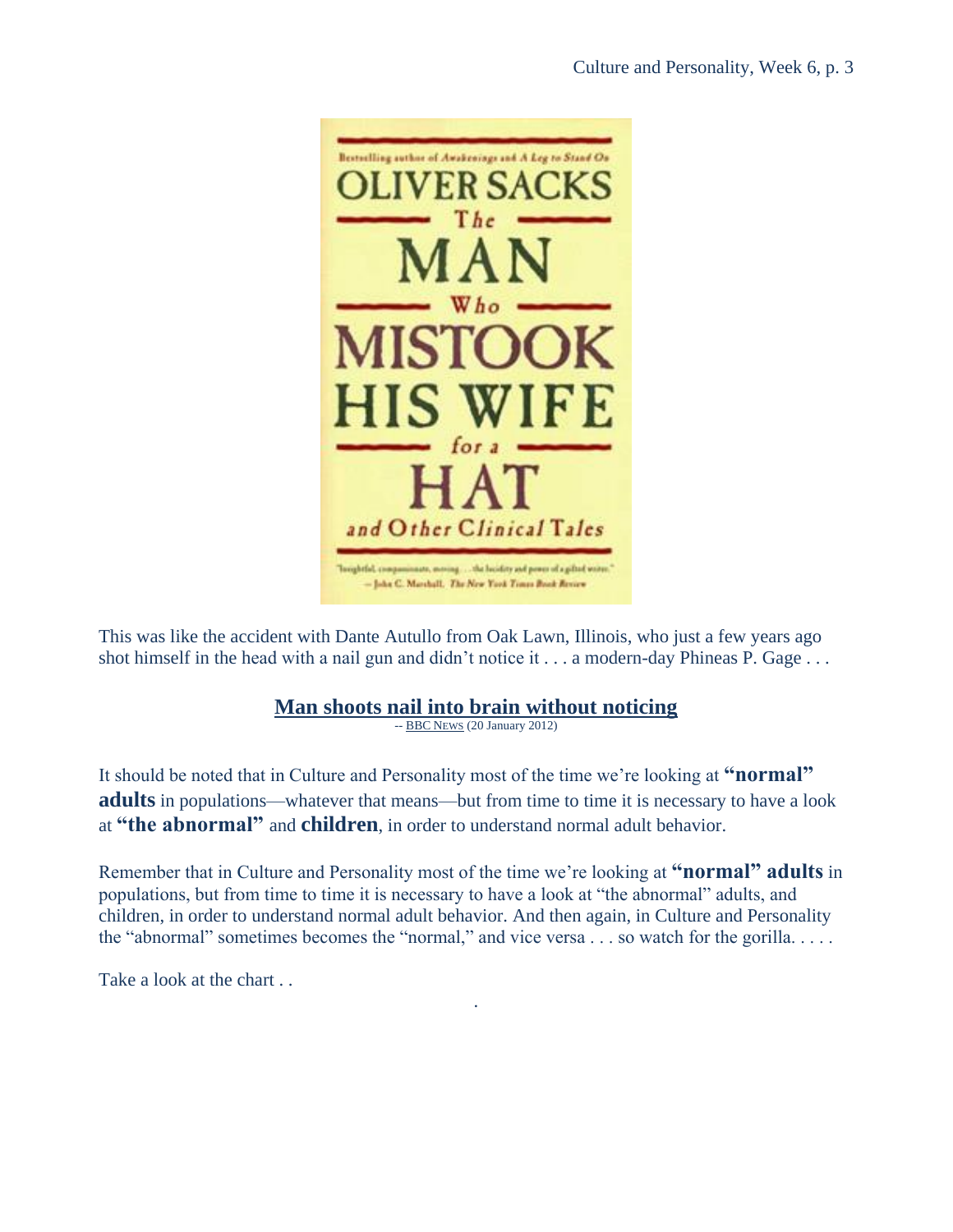

This was like the accident with Dante Autullo from Oak Lawn, Illinois, who just a few years ago shot himself in the head with a nail gun and didn't notice it . . . a modern-day Phineas P. Gage . . .

## **[Man shoots nail into brain without noticing](http://www.bbc.co.uk/news/world-us-canada-16663332)**

-- [BBC](http://www.bbc.co.uk/news/) NEWS (20 January 2012)

It should be noted that in Culture and Personality most of the time we're looking at **"normal" adults** in populations—whatever that means—but from time to time it is necessary to have a look at **"the abnormal"** and **children**, in order to understand normal adult behavior.

Remember that in Culture and Personality most of the time we're looking at **"normal" adults** in populations, but from time to time it is necessary to have a look at "the abnormal" adults, and children, in order to understand normal adult behavior. And then again, in Culture and Personality the "abnormal" sometimes becomes the "normal," and vice versa . . . so watch for the gorilla. . . . .

.

Take a look at the chart ...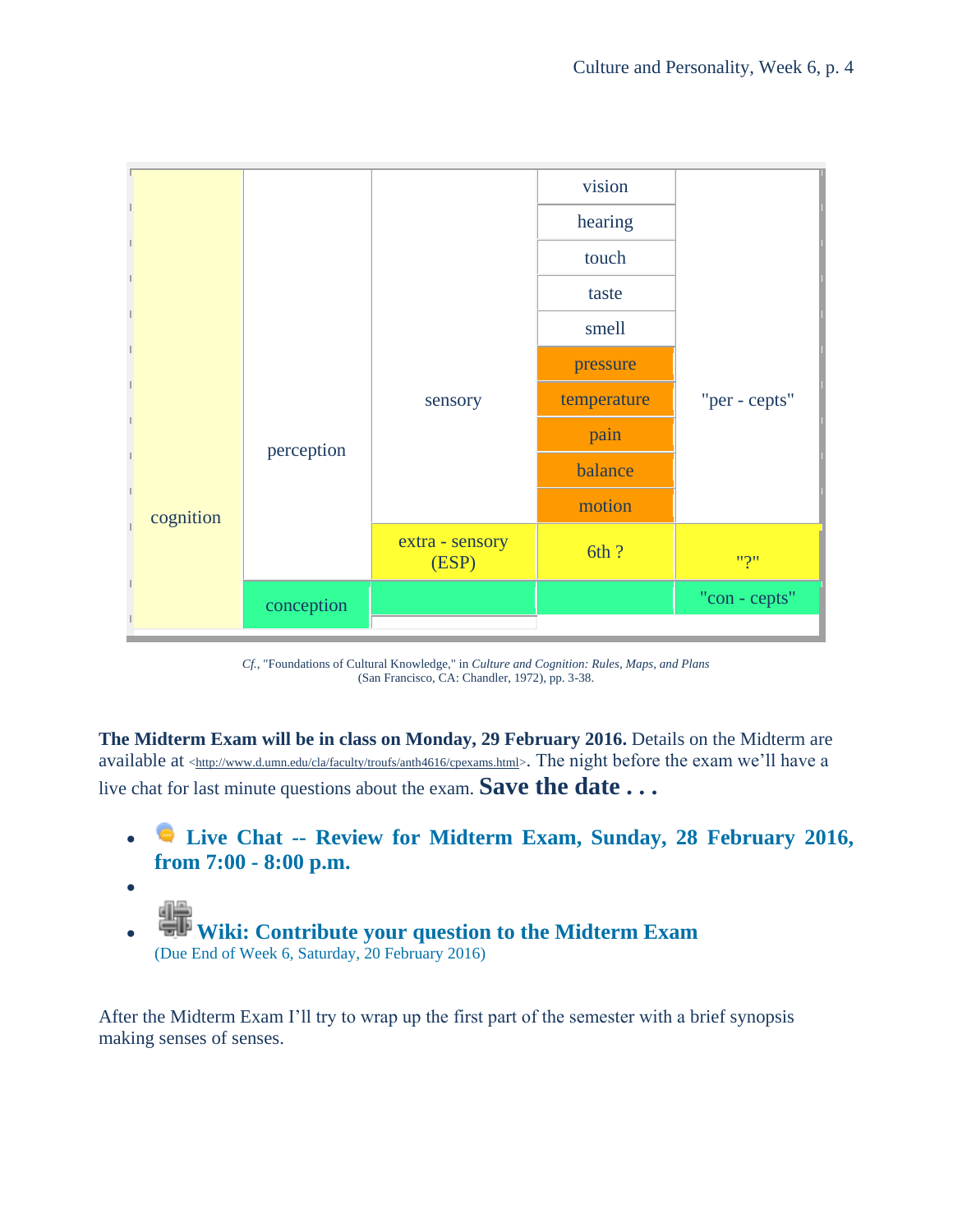

*Cf.*, "Foundations of Cultural Knowledge," in *Culture and Cognition: Rules, Maps, and Plans* (San Francisco, CA: Chandler, 1972), pp. 3-38.

**The Midterm Exam will be in class on Monday, 29 February 2016.** Details on the Midterm are available at [<http://www.d.umn.edu/cla/faculty/troufs/anth4616/cpexams.html>](http://www.d.umn.edu/cla/faculty/troufs/anth4616/cpexams.html). The night before the exam we'll have a live chat for last minute questions about the exam. **Save the date . . .** 

- **Live Chat -- [Review for Midterm Exam, Sunday, 28 February 2016,](https://ay15.moodle.umn.edu/mod/chat/view.php?id=585143)  [from 7:00 -](https://ay15.moodle.umn.edu/mod/chat/view.php?id=585143) 8:00 p.m.**
- **Wiki: Contribute [your question to the Midterm Exam](https://ay15.moodle.umn.edu/mod/wiki/view.php?id=584749)**  [\(Due End of Week 6, Saturday, 20 February 2016\)](https://ay15.moodle.umn.edu/mod/wiki/view.php?id=584749)

 $\bullet$ 

After the Midterm Exam I'll try to wrap up the first part of the semester with a brief synopsis making senses of senses.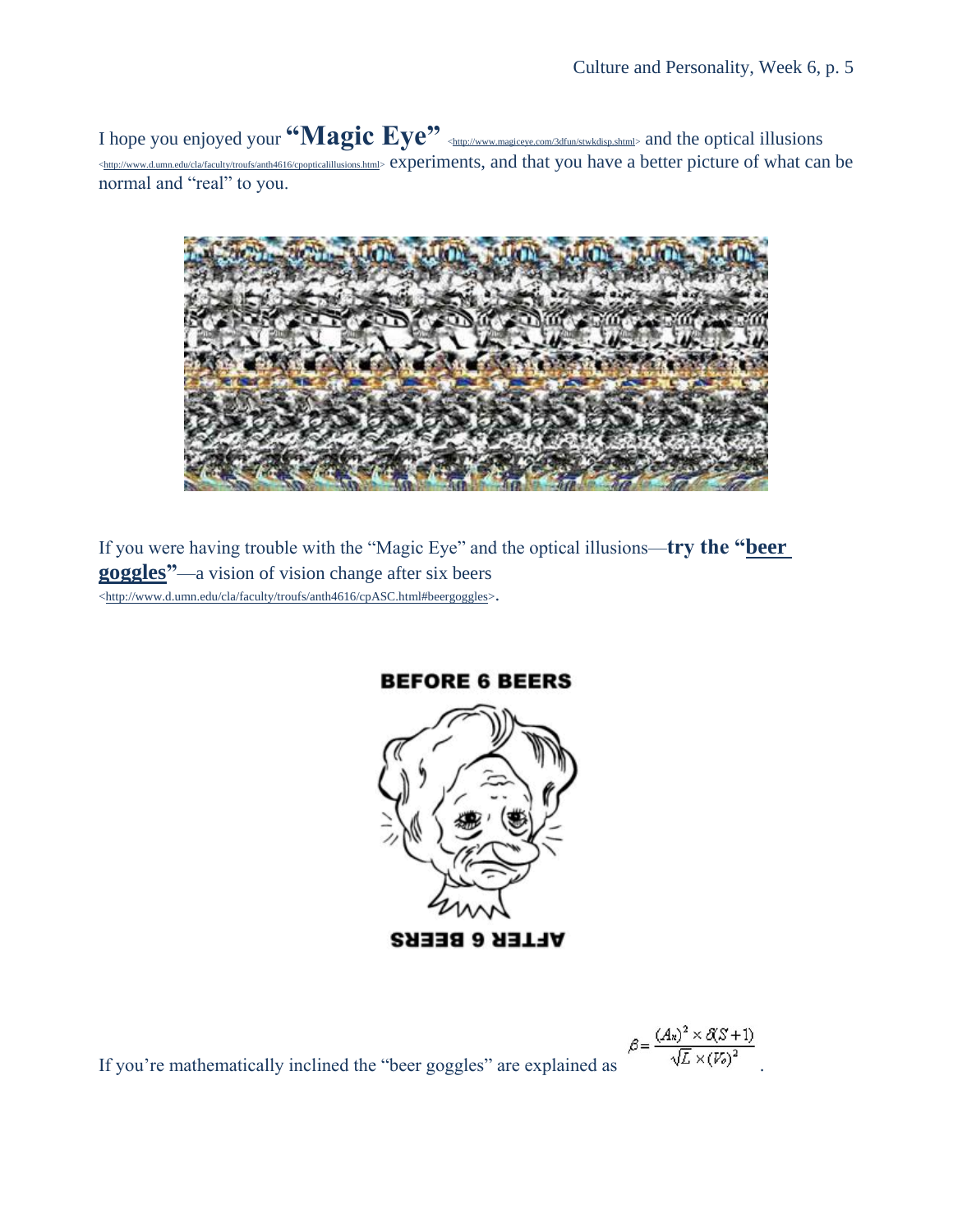I hope you enjoyed your **"Magic Eye"** [<http://www.magiceye.com/3dfun/stwkdisp.shtml>](http://www.magiceye.com/3dfun/stwkdisp.shtml) and the optical illusions [<http://www.d.umn.edu/cla/faculty/troufs/anth4616/cpopticalillusions.html>](http://www.d.umn.edu/cla/faculty/troufs/anth4616/cpopticalillusions.html) experiments, and that you have a better picture of what can be normal and "real" to you.



If you were having trouble with the "Magic Eye" and the optical illusions—**try the ["beer](http://www.d.umn.edu/cla/faculty/troufs/anth4616/cpASC.html#beergoggles)  [goggles"](http://www.d.umn.edu/cla/faculty/troufs/anth4616/cpASC.html#beergoggles)**—a vision of vision change after six beers [<http://www.d.umn.edu/cla/faculty/troufs/anth4616/cpASC.html#beergoggles>](http://www.d.umn.edu/cla/faculty/troufs/anth4616/cpASC.html#beergoggles).



If you're mathematically inclined the "beer goggles" are explained as  $\beta = \frac{(Ax)^2 \times \mathcal{X} S + 1}{\sqrt{L} \times (V_0)^2}$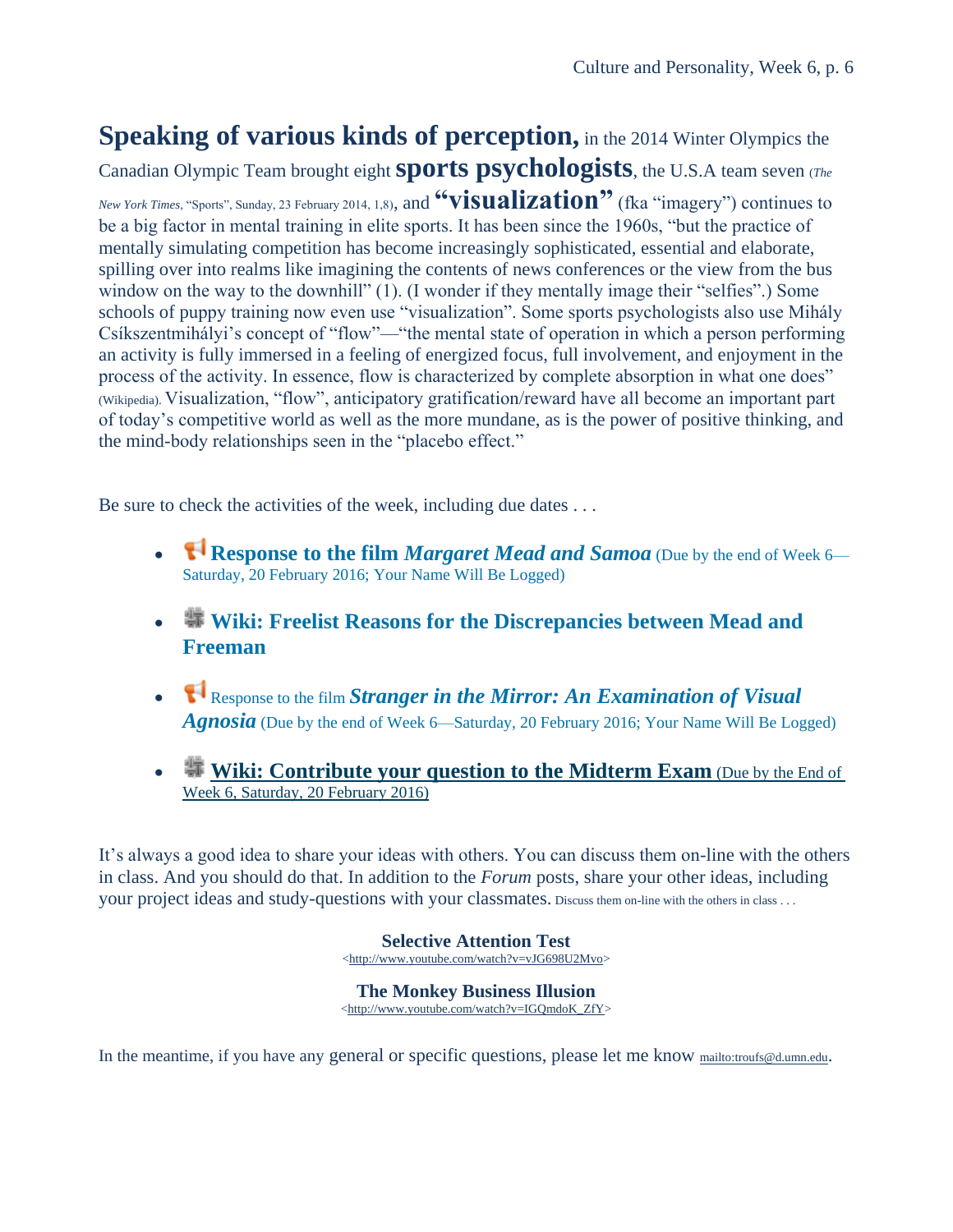## **Speaking of various kinds of perception,** in the 2014 Winter Olympics the

Canadian Olympic Team brought eight **sports psychologists**, the U.S.A team seven (*The New York Times*, "Sports", Sunday, 23 February 2014, 1,8), and **"visualization"** (fka "imagery") continues to be a big factor in mental training in elite sports. It has been since the 1960s, "but the practice of mentally simulating competition has become increasingly sophisticated, essential and elaborate, spilling over into realms like imagining the contents of news conferences or the view from the bus window on the way to the downhill" (1). (I wonder if they mentally image their "selfies".) Some schools of puppy training now even use "visualization". Some sports psychologists also use Mihály Csíkszentmihályi's concept of "flow"—"the mental state of operation in which a person performing an activity is fully immersed in a feeling of energized focus, full involvement, and enjoyment in the process of the activity. In essence, flow is characterized by complete absorption in what one does" (Wikipedia). Visualization, "flow", anticipatory gratification/reward have all become an important part of today's competitive world as well as the more mundane, as is the power of positive thinking, and the mind-body relationships seen in the "placebo effect."

Be sure to check the activities of the week, including due dates ...

- **Response to the film** *[Margaret Mead and Samoa](https://ay15.moodle.umn.edu/mod/feedback/view.php?id=585070)* (Due by the end of Week 6— [Saturday, 20 February 2016; Your Name Will Be Logged\)](https://ay15.moodle.umn.edu/mod/feedback/view.php?id=585070)
- **[Wiki: Freelist Reasons for the Discrepancies between Mead and](https://ay15.moodle.umn.edu/mod/wiki/view.php?id=585073)  [Freeman](https://ay15.moodle.umn.edu/mod/wiki/view.php?id=585073)**
- Response to the film *[Stranger in the Mirror: An Examination of Visual](https://ay15.moodle.umn.edu/mod/feedback/view.php?id=585097)  Agnosia* [\(Due by the end of Week 6—Saturday, 20 February 2016; Your Name Will Be Logged\)](https://ay15.moodle.umn.edu/mod/feedback/view.php?id=585097)
- **[Wiki: Contribute your question to the Midterm Exam](https://ay15.moodle.umn.edu/mod/wiki/view.php?id=585131)** (Due by the End of [Week 6, Saturday, 20 February 2016\)](https://ay15.moodle.umn.edu/mod/wiki/view.php?id=585131)

It's always a good idea to share your ideas with others. You can discuss them on-line with the others in class. And you should do that. In addition to the *Forum* posts, share your other ideas, including your project ideas and study-questions with your classmates. Discuss them on-line with the others in class . . .

> **Selective Attention Test** [<http://www.youtube.com/watch?v=vJG698U2Mvo>](http://www.youtube.com/watch?v=vJG698U2Mvo)

> **The Monkey Business Illusion** [<http://www.youtube.com/watch?v=IGQmdoK\\_ZfY>](http://www.youtube.com/watch?v=IGQmdoK_ZfY)

In the meantime, if you have any general or specific questions, please let me know <mailto:troufs@d.umn.edu>.